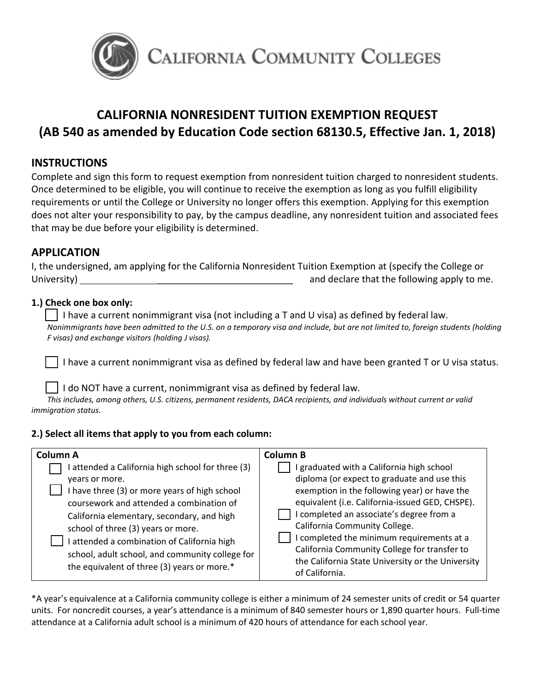

# **CALIFORNIA NONRESIDENT TUITION EXEMPTION REQUEST (AB 540 as amended by Education Code section 68130.5, Effective Jan. 1, 2018)**

# **INSTRUCTIONS**

Complete and sign this form to request exemption from nonresident tuition charged to nonresident students. Once determined to be eligible, you will continue to receive the exemption as long as you fulfill eligibility requirements or until the College or University no longer offers this exemption. Applying for this exemption does not alter your responsibility to pay, by the campus deadline, any nonresident tuition and associated fees that may be due before your eligibility is determined.

## **APPLICATION**

I, the undersigned, am applying for the California Nonresident Tuition Exemption at (specify the College or University) \_\_\_\_\_\_\_\_\_\_\_\_\_\_\_\_\_\_\_\_\_\_\_\_\_\_ and declare that the following apply to me.

## **1.) Check one box only:**

 $\vert \ \vert$  I have a current nonimmigrant visa (not including a T and U visa) as defined by federal law. *Nonimmigrants have been admitted to the U.S. on a temporary visa and include, but are not limited to, foreign students (holding F visas) and exchange visitors (holding J visas).*

I have a current nonimmigrant visa as defined by federal law and have been granted T or U visa status.

I do NOT have a current, nonimmigrant visa as defined by federal law.

*This includes, among others, U.S. citizens, permanent residents, DACA recipients, and individuals without current or valid immigration status.*

### **2.) Select all items that apply to you from each column:**

| <b>Column A</b>                                                                                                                                                                                                                                                                                                                                                                                 | Column B                                                                                                                                                                                                                                                                                                                                                                                                                                     |
|-------------------------------------------------------------------------------------------------------------------------------------------------------------------------------------------------------------------------------------------------------------------------------------------------------------------------------------------------------------------------------------------------|----------------------------------------------------------------------------------------------------------------------------------------------------------------------------------------------------------------------------------------------------------------------------------------------------------------------------------------------------------------------------------------------------------------------------------------------|
| attended a California high school for three (3)<br>years or more.<br>have three (3) or more years of high school<br>coursework and attended a combination of<br>California elementary, secondary, and high<br>school of three (3) years or more.<br>attended a combination of California high<br>school, adult school, and community college for<br>the equivalent of three (3) years or more.* | I graduated with a California high school<br>diploma (or expect to graduate and use this<br>exemption in the following year) or have the<br>equivalent (i.e. California-issued GED, CHSPE).<br>I completed an associate's degree from a<br>California Community College.<br>I completed the minimum requirements at a<br>California Community College for transfer to<br>the California State University or the University<br>of California. |

\*A year's equivalence at a California community college is either a minimum of 24 semester units of credit or 54 quarter units. For noncredit courses, a year's attendance is a minimum of 840 semester hours or 1,890 quarter hours. Full-time attendance at a California adult school is a minimum of 420 hours of attendance for each school year.